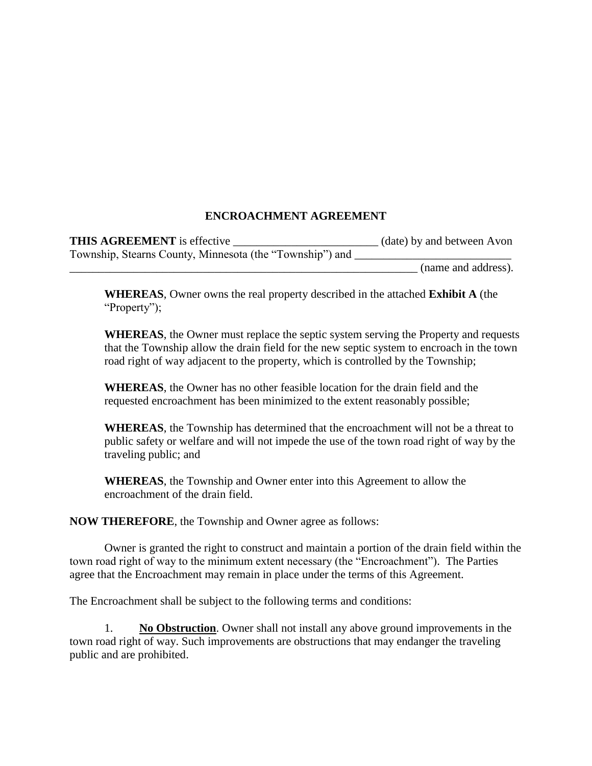## **ENCROACHMENT AGREEMENT**

| <b>THIS AGREEMENT</b> is effective                       | (date) by and between Avon |
|----------------------------------------------------------|----------------------------|
| Township, Stearns County, Minnesota (the "Township") and |                            |
|                                                          | (name and address).        |

**WHEREAS**, Owner owns the real property described in the attached **Exhibit A** (the "Property");

**WHEREAS**, the Owner must replace the septic system serving the Property and requests that the Township allow the drain field for the new septic system to encroach in the town road right of way adjacent to the property, which is controlled by the Township;

**WHEREAS**, the Owner has no other feasible location for the drain field and the requested encroachment has been minimized to the extent reasonably possible;

**WHEREAS**, the Township has determined that the encroachment will not be a threat to public safety or welfare and will not impede the use of the town road right of way by the traveling public; and

**WHEREAS**, the Township and Owner enter into this Agreement to allow the encroachment of the drain field.

**NOW THEREFORE**, the Township and Owner agree as follows:

Owner is granted the right to construct and maintain a portion of the drain field within the town road right of way to the minimum extent necessary (the "Encroachment"). The Parties agree that the Encroachment may remain in place under the terms of this Agreement.

The Encroachment shall be subject to the following terms and conditions:

**No Obstruction**. Owner shall not install any above ground improvements in the town road right of way. Such improvements are obstructions that may endanger the traveling public and are prohibited.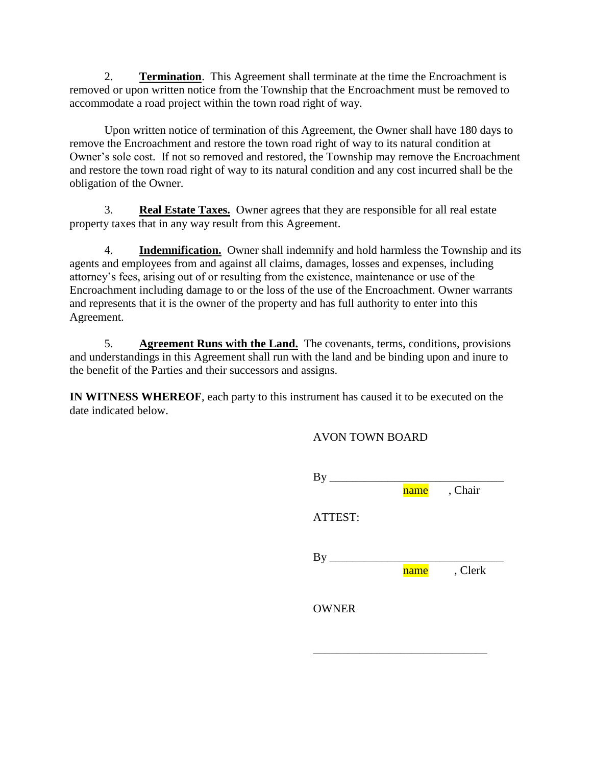2. **Termination**. This Agreement shall terminate at the time the Encroachment is removed or upon written notice from the Township that the Encroachment must be removed to accommodate a road project within the town road right of way.

Upon written notice of termination of this Agreement, the Owner shall have 180 days to remove the Encroachment and restore the town road right of way to its natural condition at Owner's sole cost. If not so removed and restored, the Township may remove the Encroachment and restore the town road right of way to its natural condition and any cost incurred shall be the obligation of the Owner.

3. **Real Estate Taxes.** Owner agrees that they are responsible for all real estate property taxes that in any way result from this Agreement.

4. **Indemnification.** Owner shall indemnify and hold harmless the Township and its agents and employees from and against all claims, damages, losses and expenses, including attorney's fees, arising out of or resulting from the existence, maintenance or use of the Encroachment including damage to or the loss of the use of the Encroachment. Owner warrants and represents that it is the owner of the property and has full authority to enter into this Agreement.

5. **Agreement Runs with the Land.** The covenants, terms, conditions, provisions and understandings in this Agreement shall run with the land and be binding upon and inure to the benefit of the Parties and their successors and assigns.

**IN WITNESS WHEREOF**, each party to this instrument has caused it to be executed on the date indicated below.

AVON TOWN BOARD

| $By$ $\overline{\phantom{0}}$ |      |         |
|-------------------------------|------|---------|
|                               | name | , Chair |
| ATTEST:                       |      |         |
|                               |      |         |
|                               | name | , Clerk |
| <b>OWNER</b>                  |      |         |

\_\_\_\_\_\_\_\_\_\_\_\_\_\_\_\_\_\_\_\_\_\_\_\_\_\_\_\_\_\_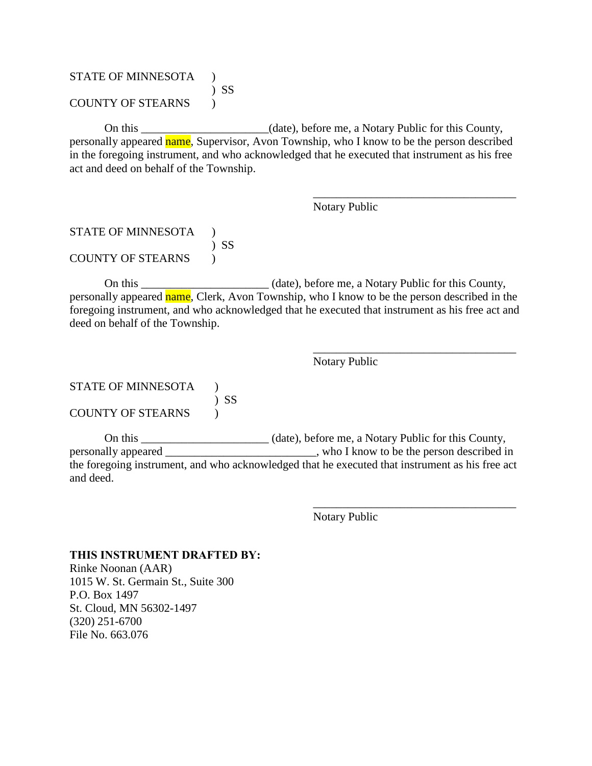## STATE OF MINNESOTA ) ) SS COUNTY OF STEARNS )

On this \_\_\_\_\_\_\_\_\_\_\_\_\_\_\_\_\_\_\_\_\_\_(date), before me, a Notary Public for this County, personally appeared name, Supervisor, Avon Township, who I know to be the person described in the foregoing instrument, and who acknowledged that he executed that instrument as his free act and deed on behalf of the Township.

Notary Public

\_\_\_\_\_\_\_\_\_\_\_\_\_\_\_\_\_\_\_\_\_\_\_\_\_\_\_\_\_\_\_\_\_\_\_

\_\_\_\_\_\_\_\_\_\_\_\_\_\_\_\_\_\_\_\_\_\_\_\_\_\_\_\_\_\_\_\_\_\_\_

\_\_\_\_\_\_\_\_\_\_\_\_\_\_\_\_\_\_\_\_\_\_\_\_\_\_\_\_\_\_\_\_\_\_\_

## STATE OF MINNESOTA ) ) SS COUNTY OF STEARNS )

On this \_\_\_\_\_\_\_\_\_\_\_\_\_\_\_\_\_\_\_\_\_\_ (date), before me, a Notary Public for this County, personally appeared name, Clerk, Avon Township, who I know to be the person described in the foregoing instrument, and who acknowledged that he executed that instrument as his free act and deed on behalf of the Township.

Notary Public

# STATE OF MINNESOTA (1) ) SS COUNTY OF STEARNS  $\qquad$  )

On this \_\_\_\_\_\_\_\_\_\_\_\_\_\_\_\_\_\_\_\_\_\_ (date), before me, a Notary Public for this County, personally appeared \_\_\_\_\_\_\_\_\_\_\_\_\_\_\_\_\_\_\_\_\_\_\_\_\_\_, who I know to be the person described in the foregoing instrument, and who acknowledged that he executed that instrument as his free act and deed.

Notary Public

#### **THIS INSTRUMENT DRAFTED BY:**

Rinke Noonan (AAR) 1015 W. St. Germain St., Suite 300 P.O. Box 1497 St. Cloud, MN 56302-1497 (320) 251-6700 File No. 663.076